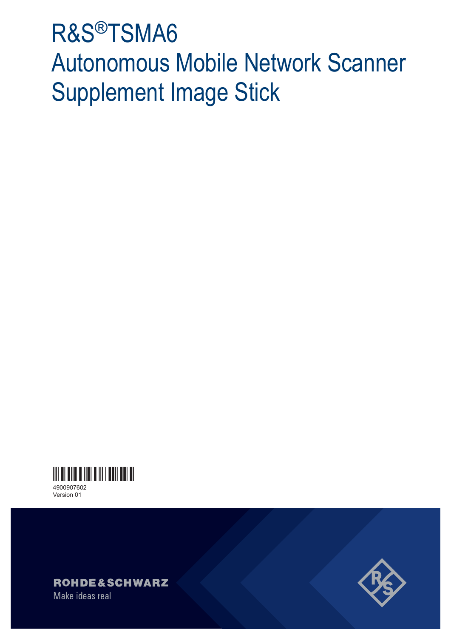# R&S®TSMA6 Autonomous Mobile Network Scanner Supplement Image Stick



Version 01



Make ideas real

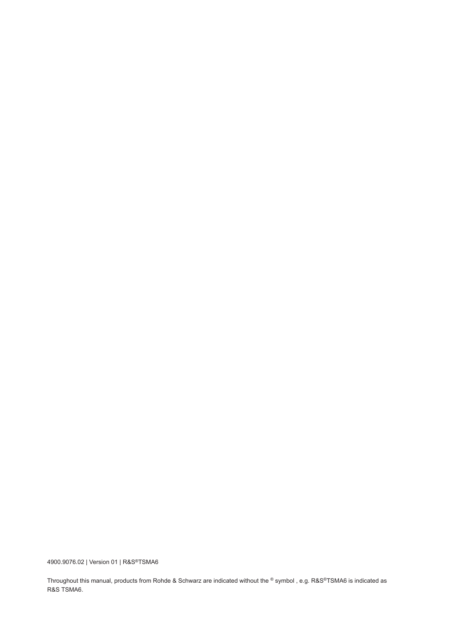4900.9076.02 | Version 01 | R&S®TSMA6

Throughout this manual, products from Rohde & Schwarz are indicated without the ® symbol , e.g. R&S®TSMA6 is indicated as R&S TSMA6.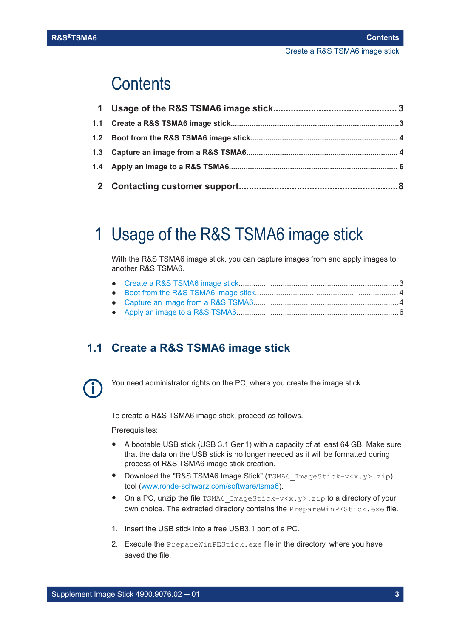## <span id="page-2-0"></span>**Contents**

# 1 Usage of the R&S TSMA6 image stick

With the R&S TSMA6 image stick, you can capture images from and apply images to another R&S TSMA6.

## **1.1 Create a R&S TSMA6 image stick**



You need administrator rights on the PC, where you create the image stick.

To create a R&S TSMA6 image stick, proceed as follows.

Prerequisites:

- A bootable USB stick (USB 3.1 Gen1) with a capacity of at least 64 GB. Make sure that the data on the USB stick is no longer needed as it will be formatted during process of R&S TSMA6 image stick creation.
- Download the "R&S TSMA6 Image Stick" (TSMA6 ImageStick-v<x.y>.zip) tool ([www.rohde-schwarz.com/software/tsma6](https://www.rohde-schwarz.com/software/tsma6)).
- On a PC, unzip the file TSMA6 ImageStick-v<x.y>.zip to a directory of your own choice. The extracted directory contains the PrepareWinPEStick.exe file.
- 1. Insert the USB stick into a free USB3.1 port of a PC.
- 2. Execute the PrepareWinPEStick.exe file in the directory, where you have saved the file.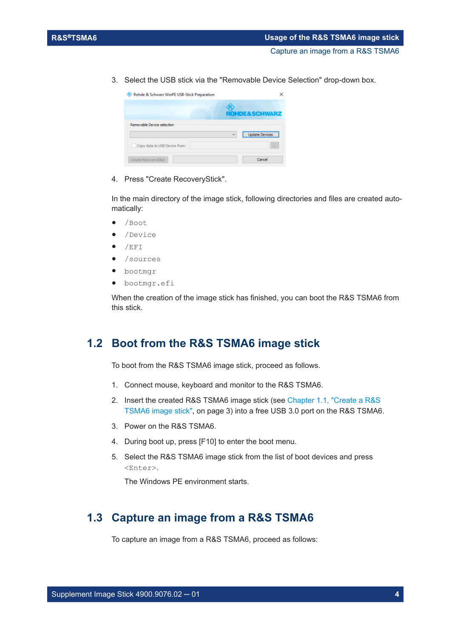<span id="page-3-0"></span>3. Select the USB stick via the "Removable Device Selection" drop-down box.

| Rohde & Schwarz WinPE USB-Stick Preparation |              |                          |
|---------------------------------------------|--------------|--------------------------|
|                                             |              | <b>ROHDE&amp;SCHWARZ</b> |
| Removable Device selection                  | $\checkmark$ | <b>Update Devices</b>    |
| Copy data to USB Device from:               |              | 1.11                     |
| Create RecoveryStick                        |              | Cancel                   |

4. Press "Create RecoveryStick".

In the main directory of the image stick, following directories and files are created automatically:

- /Boot
- /Device
- /EFI
- /sources
- bootmgr
- bootmgr.efi

When the creation of the image stick has finished, you can boot the R&S TSMA6 from this stick.

#### **1.2 Boot from the R&S TSMA6 image stick**

To boot from the R&S TSMA6 image stick, proceed as follows.

- 1. Connect mouse, keyboard and monitor to the R&S TSMA6.
- 2. Insert the created R&S TSMA6 image stick (see [Chapter 1.1, "Create a R&S](#page-2-0) [TSMA6 image stick", on page 3](#page-2-0)) into a free USB 3.0 port on the R&S TSMA6.
- 3. Power on the R&S TSMA6.
- 4. During boot up, press [F10] to enter the boot menu.
- 5. Select the R&S TSMA6 image stick from the list of boot devices and press <Enter>.

The Windows PE environment starts.

### **1.3 Capture an image from a R&S TSMA6**

To capture an image from a R&S TSMA6, proceed as follows: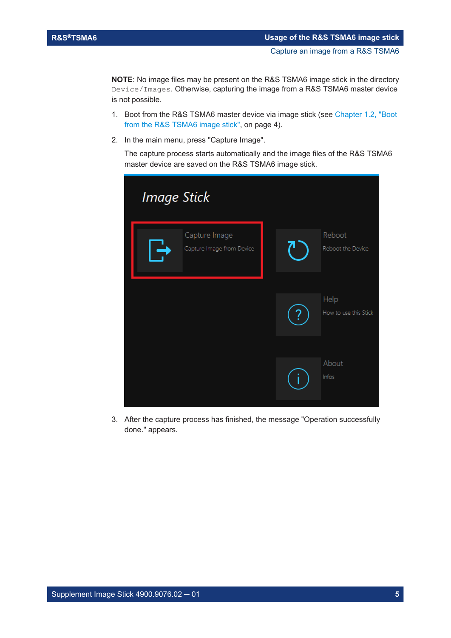**NOTE**: No image files may be present on the R&S TSMA6 image stick in the directory Device/Images. Otherwise, capturing the image from a R&S TSMA6 master device is not possible.

- 1. Boot from the R&S TSMA6 master device via image stick (see [Chapter 1.2, "Boot](#page-3-0) [from the R&S TSMA6 image stick", on page 4\)](#page-3-0).
- 2. In the main menu, press "Capture Image".

The capture process starts automatically and the image files of the R&S TSMA6 master device are saved on the R&S TSMA6 image stick.

| <b>Image Stick</b>                         |                               |  |  |  |
|--------------------------------------------|-------------------------------|--|--|--|
| Capture Image<br>Capture Image from Device | Reboot<br>Reboot the Device   |  |  |  |
|                                            | Help<br>How to use this Stick |  |  |  |
|                                            | About<br>Infos                |  |  |  |

3. After the capture process has finished, the message "Operation successfully done." appears.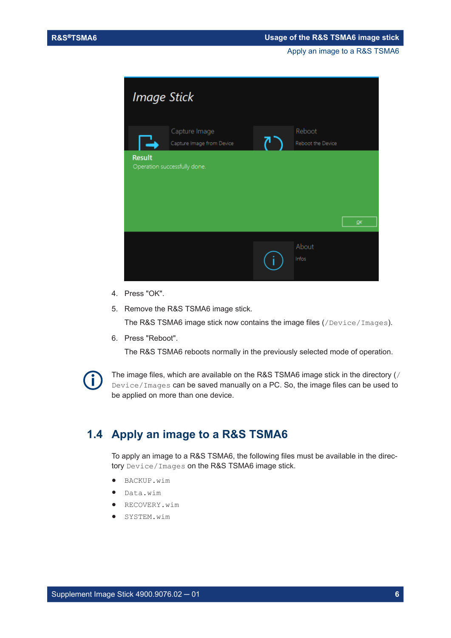Apply an image to a R&S TSMA6

<span id="page-5-0"></span>

- 4. Press "OK".
- 5. Remove the R&S TSMA6 image stick.

The R&S TSMA6 image stick now contains the image files (/Device/Images).

6. Press "Reboot".

The R&S TSMA6 reboots normally in the previously selected mode of operation.



The image files, which are available on the R&S TSMA6 image stick in the directory (/ Device/Images can be saved manually on a PC. So, the image files can be used to be applied on more than one device.

#### **1.4 Apply an image to a R&S TSMA6**

To apply an image to a R&S TSMA6, the following files must be available in the directory Device/Images on the R&S TSMA6 image stick.

- BACKUP.wim
- Data.wim
- RECOVERY.wim
- SYSTEM.wim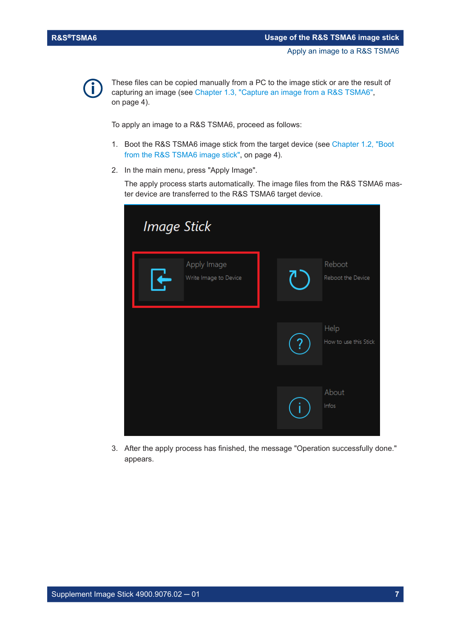

These files can be copied manually from a PC to the image stick or are the result of capturing an image (see [Chapter 1.3, "Capture an image from a R&S TSMA6",](#page-3-0) [on page 4\)](#page-3-0).

To apply an image to a R&S TSMA6, proceed as follows:

- 1. Boot the R&S TSMA6 image stick from the target device (see [Chapter 1.2, "Boot](#page-3-0) [from the R&S TSMA6 image stick", on page 4\)](#page-3-0).
- 2. In the main menu, press "Apply Image".

The apply process starts automatically. The image files from the R&S TSMA6 master device are transferred to the R&S TSMA6 target device.

| <b>Image Stick</b>                   |                               |  |  |  |
|--------------------------------------|-------------------------------|--|--|--|
| Apply Image<br>Write Image to Device | Reboot<br>Reboot the Device   |  |  |  |
|                                      | Help<br>How to use this Stick |  |  |  |
|                                      | About<br>Infos                |  |  |  |

3. After the apply process has finished, the message "Operation successfully done." appears.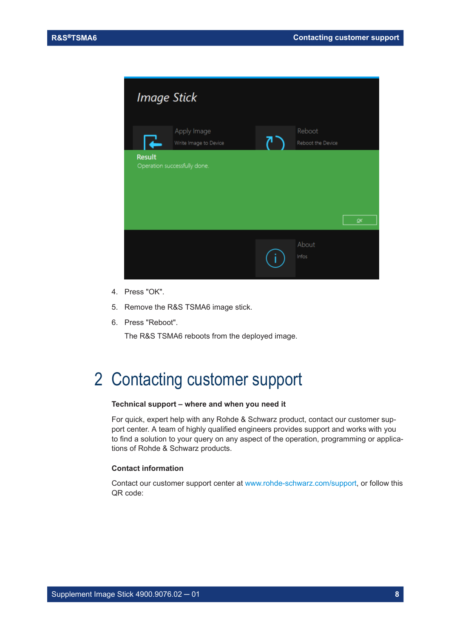<span id="page-7-0"></span>

- 4. Press "OK".
- 5. Remove the R&S TSMA6 image stick.
- 6. Press "Reboot".

The R&S TSMA6 reboots from the deployed image.

## 2 Contacting customer support

#### **Technical support – where and when you need it**

For quick, expert help with any Rohde & Schwarz product, contact our customer support center. A team of highly qualified engineers provides support and works with you to find a solution to your query on any aspect of the operation, programming or applications of Rohde & Schwarz products.

#### **Contact information**

Contact our customer support center at [www.rohde-schwarz.com/support,](https://www.rohde-schwarz.com/support) or follow this QR code: